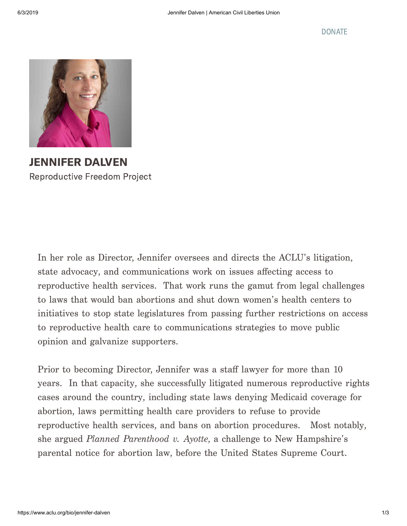

JENNIFER DALVEN Reproductive Freedom Project

In her role as Director, Jennifer oversees and directs the ACLU's litigation, state advocacy, and communications work on issues affecting access to reproductive health services. That work runs the gamut from legal challenges to laws that would ban abortions and shut down women's health centers to initiatives to stop state legislatures from passing further restrictions on access to reproductive health care to communications strategies to move public opinion and galvanize supporters.

Prior to becoming Director, Jennifer was a staff lawyer for more than 10 years. In that capacity, she successfully litigated numerous reproductive rights cases around the country, including state laws denying Medicaid coverage for abortion, laws permitting health care providers to refuse to provide reproductive health services, and bans on abortion procedures. Most notably, she argued *Planned Parenthood v. Ayotte*, a challenge to New Hampshire's parental notice for abortion law, before the United States Supreme Court.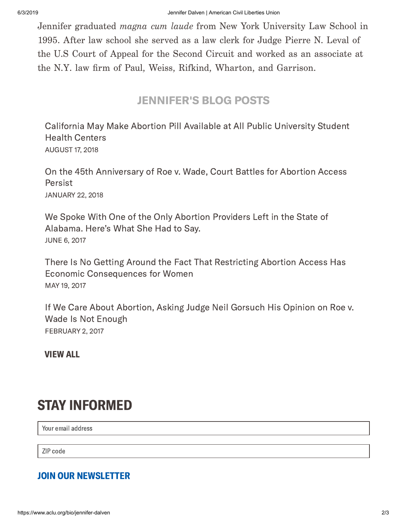Jennifer graduated *magna cum laude* from New York University Law School in 1995. After law school she served as a law clerk for Judge Pierre N. Leval of the U.S Court of Appeal for the Second Circuit and worked as an associate at the N.Y. law firm of Paul, Weiss, Rifkind, Wharton, and Garrison.

## JENNIFER'S BLOG POSTS

California May Make Abortion Pill Available at All Public [University](https://www.aclu.org/blog/reproductive-freedom/abortion/california-may-make-abortion-pill-available-all-public-university) Student Health Centers AUGUST 17, 2018

On the 45th [Anniversary](https://www.aclu.org/blog/reproductive-freedom/abortion/45th-anniversary-roe-v-wade-court-battles-abortion-access-persist) of Roe v. Wade, Court Battles for Abortion Access Persist JANUARY 22, 2018

We Spoke With One of the Only Abortion Providers Left in the State of [Alabama.](https://www.aclu.org/blog/reproductive-freedom/abortion/we-spoke-one-only-abortion-providers-left-state-alabama-heres) Here's What She Had to Say. JUNE 6, 2017

There Is No Getting Around the Fact That Restricting Abortion Access Has Economic [Consequences](https://www.aclu.org/blog/reproductive-freedom/abortion/there-no-getting-around-fact-restricting-abortion-access-has) for Women MAY 19, 2017

If We Care About [Abortion,](https://www.aclu.org/blog/reproductive-freedom/abortion/if-we-care-about-abortion-asking-judge-neil-gorsuch-his-opinion) Asking Judge Neil Gorsuch His Opinion on Roe v. Wade Is Not Enough FEBRUARY 2, 2017

[VIEW](https://www.aclu.org/search/%20?f[0]=type%3Ablog&f[1]=field_blog_authors%3A20488) ALL

## STAY INFORMED

Your email address

ZIP code

## JOIN OUR NEWSLETTER